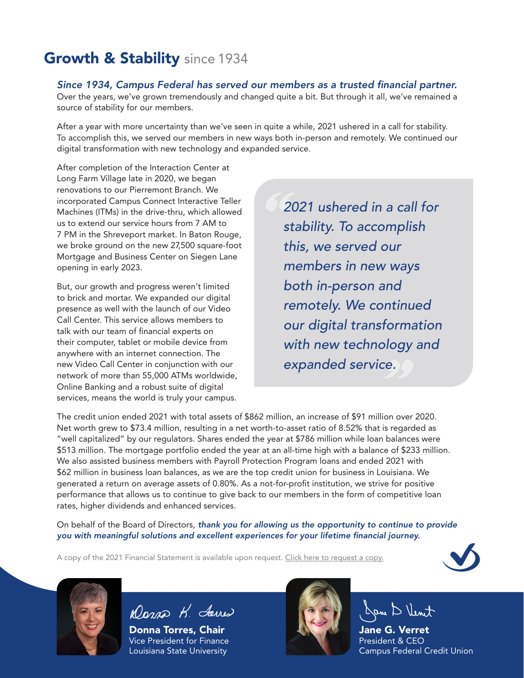# **Growth & Stability** since 1934

### *Since 1934, Campus Federal has served our members as a trusted financial partner.*

Over the years, we've grown tremendously and changed quite a bit. But through it all, we've remained a source of stability for our members.

After a year with more uncertainty than we've seen in quite a while, 2021 ushered in a call for stability. To accomplish this, we served our members in new ways both in-person and remotely. We continued our digital transformation with new technology and expanded service.

After completion of the Interaction Center at Long Farm Village late in 2020, we began renovations to our Pierremont Branch. We incorporated Campus Connect Interactive Teller Machines (ITMs) in the drive-thru, which allowed us to extend our service hours from 7 AM to 7 PM in the Shreveport market. In Baton Rouge, we broke ground on the new 27,500 square-foot Mortgage and Business Center on Siegen Lane opening in early 2023.

But, our growth and progress weren't limited to brick and mortar. We expanded our digital presence as well with the launch of our Video Call Center. This service allows members to talk with our team of financial experts on their computer, tablet or mobile device from anywhere with an internet connection. The new Video Call Center in conjunction with our network of more than 55,000 ATMs worldwide, Online Banking and a robust suite of digital services, means the world is truly your campus.

*2021 ushered in a call for stability. To accomplish this, we served our members in new ways both in-person and remotely. We continued our digital transformation with new technology and expanded service.*

The credit union ended 2021 with total assets of \$862 million, an increase of \$91 million over 2020. Net worth grew to \$73.4 million, resulting in a net worth-to-asset ratio of 8.52% that is regarded as "well capitalized" by our regulators. Shares ended the year at \$786 million while loan balances were \$513 million. The mortgage portfolio ended the year at an all-time high with a balance of \$233 million. We also assisted business members with Payroll Protection Program loans and ended 2021 with \$62 million in business loan balances, as we are the top credit union for business in Louisiana. We generated a return on average assets of 0.80%. As a not-for-profit institution, we strive for positive performance that allows us to continue to give back to our members in the form of competitive loan rates, higher dividends and enhanced services.

On behalf of the Board of Directors, *thank you for allowing us the opportunity to continue to provide you with meaningful solutions and excellent experiences for your lifetime financial journey.*

A copy of the 2021 Financial Statement is available upon request. [Click here to request a copy.](https://www.campusfederal.org/contact/)





Dans K. Javes

Donna Torres, Chair Vice President for Finance Louisiana State University



Dan D Vent

Jane G. Verret President & CEO Campus Federal Credit Union